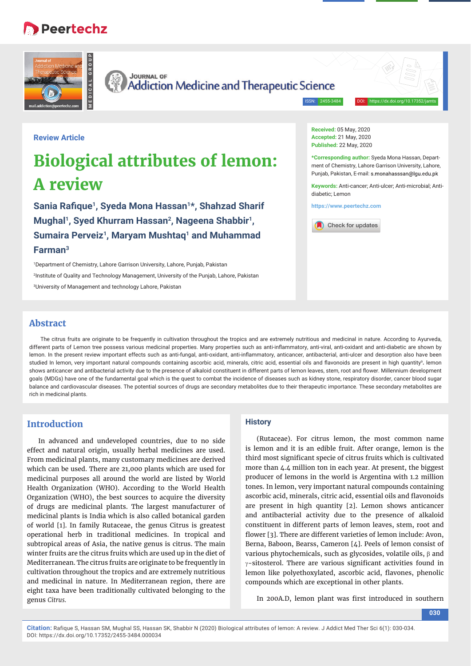# **B** Peertechz



**JOURNAL OF Addiction Medicine and Therapeutic Science** 

ISSN: 2455-3484

# **Review Article**

# **Biological attributes of lemon: A review**

Sania Rafique<sup>1</sup>, Syeda Mona Hassan<sup>1\*</sup>, Shahzad Sharif **Mughal1, Syed Khurram Hassan2, Nageena Shabbir1,**  Sumaira Perveiz<sup>1</sup>, Maryam Mushtaq<sup>1</sup> and Muhammad **Farman3**

1 Department of Chemistry, Lahore Garrison University, Lahore, Punjab, Pakistan 2 Institute of Quality and Technology Management, University of the Punjab, Lahore, Pakistan 3 University of Management and technology Lahore, Pakistan

**Received:** 05 May, 2020 **Accepted:** 21 May, 2020 **Published:** 22 May, 2020

**\*Corresponding author:** Syeda Mona Hassan, Department of Chemistry, Lahore Garrison University, Lahore, Punjab, Pakistan, E-mail: s.monahasssan@lqu.edu.pk

**Keywords:** Anti-cancer; Anti-ulcer; Anti-microbial; Antidiabetic; Lemon

**https://www.peertechz.com**



# **Abstract**

The citrus fruits are originate to be frequently in cultivation throughout the tropics and are extremely nutritious and medicinal in nature. According to Ayurveda, different parts of Lemon tree possess various medicinal properties. Many properties such as anti-inflammatory, anti-viral, anti-oxidant and anti-diabetic are shown by lemon. In the present review important effects such as anti-fungal, anti-oxidant, anti-inflammatory, anticancer, antibacterial, anti-ulcer and desorption also have been studied In lemon, very important natural compounds containing ascorbic acid, minerals, citric acid, essential oils and flavonoids are present in high quantity<sup>9</sup>. Iemon shows anticancer and antibacterial activity due to the presence of alkaloid constituent in different parts of lemon leaves, stem, root and flower. Millennium development goals (MDGs) have one of the fundamental goal which is the quest to combat the incidence of diseases such as kidney stone, respiratory disorder, cancer blood sugar balance and cardiovascular diseases. The potential sources of drugs are secondary metabolites due to their therapeutic importance. These secondary metabolites are rich in medicinal plants.

# **Introduction**

In advanced and undeveloped countries, due to no side effect and natural origin, usually herbal medicines are used. From medicinal plants, many customary medicines are derived which can be used. There are 21,000 plants which are used for medicinal purposes all around the world are listed by World Health Organization (WHO). According to the World Health Organization (WHO), the best sources to acquire the diversity of drugs are medicinal plants. The largest manufacturer of medicinal plants is India which is also called botanical garden of world [1]. In family Rutaceae, the genus Citrus is greatest operational herb in traditional medicines. In tropical and subtropical areas of Asia, the native genus is citrus. The main winter fruits are the citrus fruits which are used up in the diet of Mediterranean. The citrus fruits are originate to be frequently in cultivation throughout the tropics and are extremely nutritious and medicinal in nature. In Mediterranean region, there are eight taxa have been traditionally cultivated belonging to the genus *Citrus.*

#### **History**

(Rutaceae). For citrus lemon, the most common name is lemon and it is an edible fruit. After orange, lemon is the third most significant specie of citrus fruits which is cultivated more than 4.4 million ton in each year. At present, the biggest producer of lemons in the world is Argentina with 1.2 million tones. In lemon, very important natural compounds containing ascorbic acid, minerals, citric acid, essential oils and flavonoids are present in high quantity [2]. Lemon shows anticancer and antibacterial activity due to the presence of alkaloid constituent in different parts of lemon leaves, stem, root and flower [3]. There are different varieties of lemon include: Avon, Berna, Baboon, Bearss, Cameron [4]. Peels of lemon consist of various phytochemicals, such as glycosides, volatile oils,  $\beta$  and  $\gamma$ -sitosterol. There are various significant activities found in lemon like polyethoxylated, ascorbic acid, flavones, phenolic compounds which are exceptional in other plants.

In 200A.D, lemon plant was first introduced in southern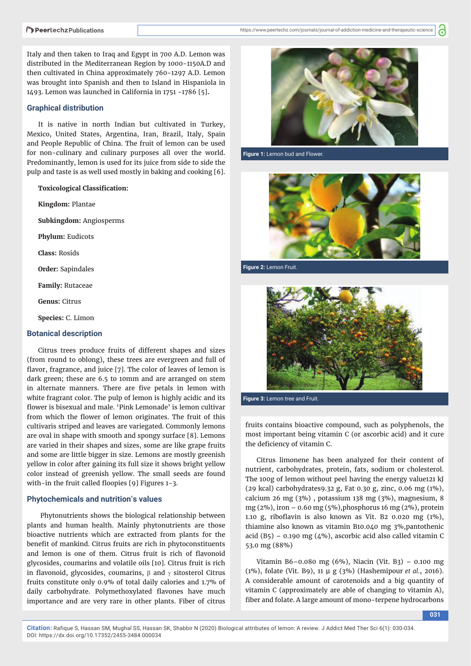6

Italy and then taken to Iraq and Egypt in 700 A.D. Lemon was distributed in the Mediterranean Region by 1000-1150A.D and then cultivated in China approximately 760-1297 A.D. Lemon was brought into Spanish and then to Island in Hispaniola in 1493. Lemon was launched in California in 1751 -1786 [5]**.**

#### **Graphical distribution**

It is native in north Indian but cultivated in Turkey, Mexico, United States, Argentina, Iran, Brazil, Italy, Spain and People Republic of China. The fruit of lemon can be used for non-culinary and culinary purposes all over the world. Predominantly, lemon is used for its juice from side to side the pulp and taste is as well used mostly in baking and cooking [6].

**Toxicological Classification:** 

**Kingdom:** Plantae **Subkingdom:** Angiosperms **Phylum:** Eudicots **Class:** Rosids **Order:** Sapindales **Family:** Rutaceae **Genus:** Citrus **Species:** C. Limon

# **Botanical description**

Citrus trees produce fruits of different shapes and sizes (from round to oblong), these trees are evergreen and full of flavor, fragrance, and juice [7]. The color of leaves of lemon is dark green; these are 6.5 to 10mm and are arranged on stem in alternate manners. There are five petals in lemon with white fragrant color. The pulp of lemon is highly acidic and its flower is bisexual and male. 'Pink Lemonade' is lemon cultivar from which the flower of lemon originates. The fruit of this cultivaris striped and leaves are variegated. Commonly lemons are oval in shape with smooth and spongy surface [8]. Lemons are varied in their shapes and sizes, some are like grape fruits and some are little bigger in size. Lemons are mostly greenish yellow in color after gaining its full size it shows bright yellow color instead of greenish yellow. The small seeds are found with-in the fruit called floopies  $[9]$  Figures 1-3.

#### **Phytochemicals and nutrition's values**

Phytonutrients shows the biological relationship between plants and human health. Mainly phytonutrients are those bioactive nutrients which are extracted from plants for the benefit of mankind. Citrus fruits are rich in phytoconstituents and lemon is one of them. Citrus fruit is rich of flavonoid glycosides, coumarins and volatile oils [10]. Citrus fruit is rich in flavonoid, glycosides, coumarins,  $\beta$  and  $\gamma$  sitosterol Citrus fruits constitute only 0.9% of total daily calories and 1.7% of daily carbohydrate. Polymethoxylated flavones have much importance and are very rare in other plants. Fiber of citrus



**Figure 1:** Lemon bud and Flower.

**Figure 2:** Lemon Fruit.



**Figure 3:** Lemon tree and Fruit.

fruits contains bioactive compound, such as polyphenols, the most important being vitamin C (or ascorbic acid) and it cure the deficiency of vitamin C.

Citrus limonene has been analyzed for their content of nutrient, carbohydrates, protein, fats, sodium or cholesterol. The 100g of lemon without peel having the energy value121 kJ (29 kcal) carbohydrates9.32 g, Fat 0.30 g, zinc, 0.06 mg (1%), calcium 26 mg (3%) , potassium 138 mg (3%), magnesium, 8 mg (2%), iron  $-$  0.60 mg (5%), phosphorus 16 mg (2%), protein 1.10 g, riboflavin is also known as Vit. B2 0.020 mg  $(1\%)$ , thiamine also known as vitamin B10.040 mg 3%,pantothenic acid (B5) – 0.190 mg ( $4\%$ ), ascorbic acid also called vitamin C 53.0 mg (88%)

Vitamin B6–0.080 mg (6%), Niacin (Vit. B3) – 0.100 mg (1%), folate (Vit. B9), 11 μ g (3%) (Hashemipour *et al.*, 2016). A considerable amount of carotenoids and a big quantity of vitamin C (approximately are able of changing to vitamin A), fiber and folate. A large amount of mono-terpene hydrocarbons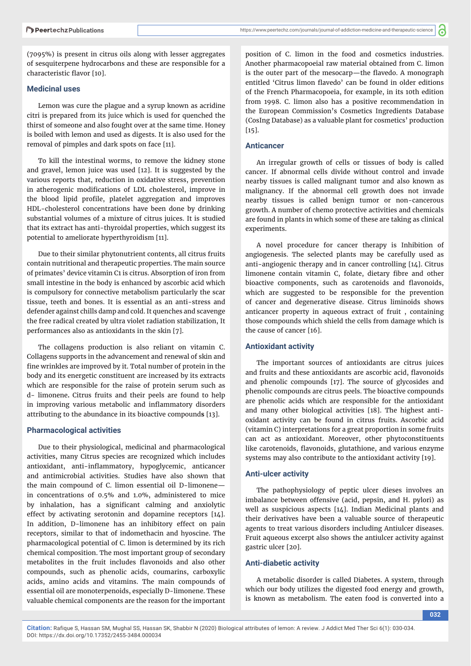(7095%) is present in citrus oils along with lesser aggregates of sesquiterpene hydrocarbons and these are responsible for a characteristic flavor [10].

### **Medicinal uses**

Lemon was cure the plague and a syrup known as acridine citri is prepared from its juice which is used for quenched the thirst of someone and also fought over at the same time. Honey is boiled with lemon and used as digests. It is also used for the removal of pimples and dark spots on face [11].

To kill the intestinal worms, to remove the kidney stone and gravel, lemon juice was used [12]. It is suggested by the various reports that, reduction in oxidative stress, prevention in atherogenic modifications of LDL cholesterol, improve in the blood lipid profile, platelet aggregation and improves HDL-cholesterol concentrations have been done by drinking substantial volumes of a mixture of citrus juices. It is studied that its extract has anti-thyroidal properties, which suggest its potential to ameliorate hyperthyroidism [11].

Due to their similar phytonutrient contents, all citrus fruits contain nutritional and therapeutic properties. The main source of primates' device vitamin C1 is citrus. Absorption of iron from small intestine in the body is enhanced by ascorbic acid which is compulsory for connective metabolism particularly the scar tissue, teeth and bones. It is essential as an anti-stress and defender against chills damp and cold. It quenches and scavenge the free radical created by ultra violet radiation stabilization, It performances also as antioxidants in the skin [7].

The collagens production is also reliant on vitamin C. Collagens supports in the advancement and renewal of skin and fine wrinkles are improved by it. Total number of protein in the body and its energetic constituent are increased by its extracts which are responsible for the raise of protein serum such as d- limonene**.** Citrus fruits and their peels are found to help in improving various metabolic and inflammatory disorders attributing to the abundance in its bioactive compound**s** [13].

#### **Pharmacological activities**

Due to their physiological, medicinal and pharmacological activities, many Citrus species are recognized which includes antioxidant, anti-inflammatory, hypoglycemic, anticancer and antimicrobial activities. Studies have also shown that the main compound of C. limon essential oil D-limonene in concentrations of 0.5% and 1.0%, administered to mice by inhalation, has a significant calming and anxiolytic effect by activating serotonin and dopamine receptors [14]. In addition, D-limonene has an inhibitory effect on pain receptors, similar to that of indomethacin and hyoscine. The pharmacological potential of C. limon is determined by its rich chemical composition. The most important group of secondary metabolites in the fruit includes flavonoids and also other compounds, such as phenolic acids, coumarins, carboxylic acids, amino acids and vitamins. The main compounds of essential oil are monoterpenoids, especially D-limonene. These valuable chemical components are the reason for the important

position of C. limon in the food and cosmetics industries. Another pharmacopoeial raw material obtained from C. limon is the outer part of the mesocarp—the flavedo. A monograph entitled 'Citrus limon flavedo' can be found in older editions of the French Pharmacopoeia, for example, in its 10th edition from 1998. C. limon also has a positive recommendation in the European Commission's Cosmetics Ingredients Database (CosIng Database) as a valuable plant for cosmetics' production  $[15]$ .

#### **Anticancer**

An irregular growth of cells or tissues of body is called cancer. If abnormal cells divide without control and invade nearby tissues is called malignant tumor and also known as malignancy. If the abnormal cell growth does not invade nearby tissues is called benign tumor or non-cancerous growth. A number of chemo protective activities and chemicals are found in plants in which some of these are taking as clinical experiments.

A novel procedure for cancer therapy is Inhibition of angiogenesis. The selected plants may be carefully used as anti-angiogenic therapy and in cancer controlling [14]. Citrus limonene contain vitamin C, folate, dietary fibre and other bioactive components, such as carotenoids and flavonoids, which are suggested to be responsible for the prevention of cancer and degenerative disease. Citrus liminoids shows anticancer property in aqueous extract of fruit , containing those compounds which shield the cells from damage which is the cause of cancer [16].

## **Antioxidant activity**

The important sources of antioxidants are citrus juices and fruits and these antioxidants are ascorbic acid, flavonoids and phenolic compounds [17]. The source of glycosides and phenolic compounds are citrus peels. The bioactive compounds are phenolic acids which are responsible for the antioxidant and many other biological activities [18]. The highest antioxidant activity can be found in citrus fruits. Ascorbic acid (vitamin C) interpretations for a great proportion in some fruits can act as antioxidant. Moreover, other phytoconstituents like carotenoids, flavonoids, glutathione, and various enzyme systems may also contribute to the antioxidant activity [19].

# **Anti-ulcer activity**

The pathophysiology of peptic ulcer dieses involves an imbalance between offensive (acid, pepsin, and H. pylori) as well as suspicious aspects [14]. Indian Medicinal plants and their derivatives have been a valuable source of therapeutic agents to treat various disorders including Antiulcer diseases. Fruit aqueous excerpt also shows the antiulcer activity against gastric ulcer [20].

#### **Anti-diabetic activity**

A metabolic disorder is called Diabetes. A system, through which our body utilizes the digested food energy and growth, is known as metabolism. The eaten food is converted into a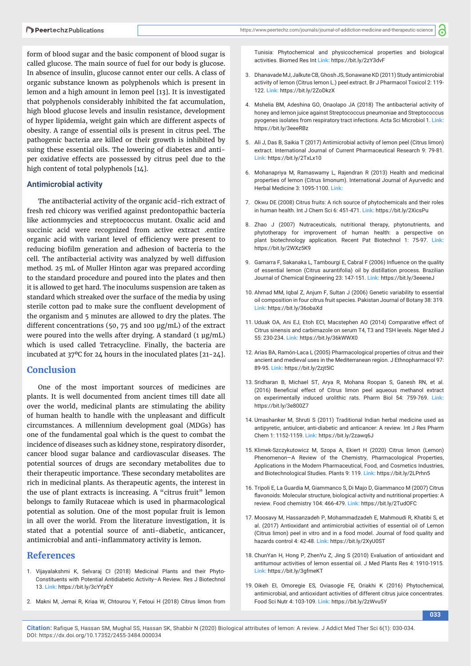form of blood sugar and the basic component of blood sugar is called glucose. The main source of fuel for our body is glucose. In absence of insulin, glucose cannot enter our cells. A class of organic substance known as polyphenols which is present in lemon and a high amount in lemon peel [13]. It is investigated that polyphenols considerably inhibited the fat accumulation, high blood glucose levels and insulin resistance, development of hyper lipidemia, weight gain which are different aspects of obesity. A range of essential oils is present in citrus peel. The pathogenic bacteria are killed or their growth is inhibited by suing these essential oils. The lowering of diabetes and antiper oxidative effects are possessed by citrus peel due to the high content of total polyphenols [14].

#### **Antimicrobial activity**

The antibacterial activity of the organic acid-rich extract of fresh red chicory was verified against predontopathic bacteria like actionmycies and streptococcus mutant. Oxalic acid and succinic acid were recognized from active extract .entire organic acid with variant level of efficiency were present to reducing biofilm generation and adhesion of bacteria to the cell. The antibacterial activity was analyzed by well diffusion method. 25 mL of Muller Hinton agar was prepared according to the standard procedure and poured into the plates and then it is allowed to get hard. The inoculums suspension are taken as standard which streaked over the surface of the media by using sterile cotton pad to make sure the confluent development of the organism and 5 minutes are allowed to dry the plates. The different concentrations (50, 75 and 100 μg/mL) of the extract were poured into the wells after drying. A standard (1 μg/mL) which is used called Tetracycline. Finally, the bacteria are incubated at 37ºC for 24 hours in the inoculated plates [21-24].

# **Conclusion**

One of the most important sources of medicines are plants. It is well documented from ancient times till date all over the world, medicinal plants are stimulating the ability of human health to handle with the unpleasant and difficult circumstances. A millennium development goal (MDGs) has one of the fundamental goal which is the quest to combat the incidence of diseases such as kidney stone, respiratory disorder, cancer blood sugar balance and cardiovascular diseases. The potential sources of drugs are secondary metabolites due to their therapeutic importance. These secondary metabolites are rich in medicinal plants. As therapeutic agents, the interest in the use of plant extracts is increasing. A "citrus fruit" lemon belongs to family Rutaceae which is used in pharmacological potential as solution. One of the most popular fruit is lemon in all over the world. From the literature investigation, it is stated that a potential source of anti-diabetic, anticancer, antimicrobial and anti-inflammatory activity is lemon.

# **References**

- 1. Vijayalakshmi K, Selvaraj CI (2018) Medicinal Plants and their Phyto-Constituents with Potential Antidiabetic Activity–A Review. Res J Biotechnol 13. **Link:** https://bit.ly/3cYYpEY
- 2. Makni M, Jemai R, Kriaa W, Chtourou Y, Fetoui H (2018) Citrus limon from

Tunisia: Phytochemical and physicochemical properties and biological activities. Biomed Res Int **Link:** https://bit.ly/2zY3dvF

<u>ලි</u>

- 3. Dhanavade MJ, Jalkute CB, Ghosh JS, Sonawane KD (2011) Study antimicrobial activity of lemon (Citrus lemon L.) peel extract. Br J Pharmacol Toxicol 2: 119- 122. **Link:** https://bit.ly/2ZoDkzX
- 4. Mshelia BM, Adeshina GO, Onaolapo JA (2018) The antibacterial activity of honey and lemon juice against Streptococcus pneumoniae and Streptococcus pyogenes isolates from respiratory tract infections. Acta Sci Microbiol 1. **Link:** https://bit.ly/3eeeRBz
- 5. Ali J, Das B, Saikia T (2017) Antimicrobial activity of lemon peel (Citrus limon) extract. International Journal of Current Pharmaceutical Research 9: 79-81. **Link:** https://bit.ly/2TxLx10
- 6. Mohanapriya M, Ramaswamy L, Rajendran R (2013) Health and medicinal properties of lemon (Citrus limonum). International Journal of Ayurvedic and Herbal Medicine 3: 1095-1100. **Link:**
- 7. Okwu DE (2008) Citrus fruits: A rich source of phytochemicals and their roles in human health. Int J Chem Sci 6: 451-471. **Link:** https://bit.ly/2XicsPu
- 8. Zhao J (2007) Nutraceuticals, nutritional therapy, phytonutrients, and phytotherapy for improvement of human health: a perspective on plant biotechnology application. Recent Pat Biotechnol 1: 75-97. **Link:** https://bit.ly/2WXz5K9
- 9. Gamarra F, Sakanaka L, Tambourgi E, Cabral F (2006) Influence on the quality of essential lemon (Citrus aurantifolia) oil by distillation process. Brazilian Journal of Chemical Engineering 23: 147-151. **Link:** https://bit.ly/3eeeneJ
- 10. Ahmad MM, Iqbal Z, Anjum F, Sultan J (2006) Genetic variability to essential oil composition in four citrus fruit species. Pakistan Journal of Botany 38: 319. **Link:** https://bit.ly/36obaXd
- 11. Uduak OA, Ani EJ, Etoh ECI, Macstephen AO (2014) Comparative effect of Citrus sinensis and carbimazole on serum T4, T3 and TSH levels. Niger Med J 55: 230-234. **Link:** https://bit.ly/36kWWX0
- 12. Arias BA, Ramón-Laca L (2005) Pharmacological properties of citrus and their ancient and medieval uses in the Mediterranean region. J Ethnopharmacol 97: 89-95. **Link:** https://bit.ly/2zjt5lC
- 13. Sridharan B, Michael ST, Arya R, Mohana Roopan S, Ganesh RN, et al. (2016) Beneficial effect of Citrus limon peel aqueous methanol extract on experimentally induced urolithic rats. Pharm Biol 54: 759-769. **Link:**  https://bit.ly/3e800Z7
- 14. Umashanker M, Shruti S (2011) Traditional Indian herbal medicine used as antipyretic, antiulcer, anti-diabetic and anticancer: A review. Int J Res Pharm Chem 1: 1152-1159. **Link:** https://bit.ly/2zawq6J
- 15. Klimek-Szczykutowicz M, Szopa A, Ekiert H (2020) Citrus limon (Lemon) Phenomenon—A Review of the Chemistry, Pharmacological Properties, Applications in the Modern Pharmaceutical, Food, and Cosmetics Industries, and Biotechnological Studies. Plants 9: 119. **Link:** https://bit.ly/2LPrhn5
- 16. Tripoli E, La Guardia M, Giammanco S, Di Majo D, Giammanco M (2007) Citrus flavonoids: Molecular structure, biological activity and nutritional properties: A review. Food chemistry 104: 466-479. **Link:** https://bit.ly/2TudOFC
- 17. Moosavy M, Hassanzadeh P, Mohammadzadeh E, Mahmoudi R, Khatibi S, et al. (2017) Antioxidant and antimicrobial activities of essential oil of Lemon (Citrus limon) peel in vitro and in a food model. Journal of food quality and hazards control 4: 42-48. **Link:** https://bit.ly/2XyU0ST
- 18. ChunYan H, Hong P, ZhenYu Z, Jing S (2010) Evaluation of antioxidant and antitumour activities of lemon essential oil. J Med Plants Res 4: 1910-1915. **Link:** https://bit.ly/3gfmeKT
- 19. Oikeh EI, Omoregie ES, Oviasogie FE, Oriakhi K (2016) Phytochemical, antimicrobial, and antioxidant activities of different citrus juice concentrates. Food Sci Nutr 4: 103-109. **Link:** https://bit.ly/2zWvu5Y

**033**